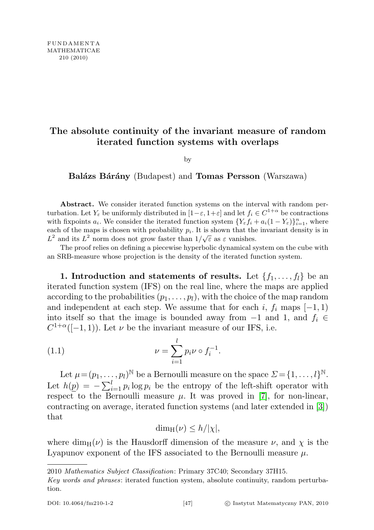## The absolute continuity of the invariant measure of random iterated function systems with overlaps

by

Balázs Bárány (Budapest) and Tomas Persson (Warszawa)

Abstract. We consider iterated function systems on the interval with random perturbation. Let  $Y_{\varepsilon}$  be uniformly distributed in  $[1-\varepsilon, 1+\varepsilon]$  and let  $f_i \in C^{1+\alpha}$  be contractions with fixpoints  $a_i$ . We consider the iterated function system  $\{Y_{\varepsilon} f_i + a_i(1 - Y_{\varepsilon})\}_{i=1}^n$ , where each of the maps is chosen with probability  $p_i$ . It is shown that the invariant density is in each of the maps is chosen with probability  $p_i$ . It is shown that the  $L^2$  and its  $L^2$  norm does not grow faster than  $1/\sqrt{\varepsilon}$  as  $\varepsilon$  vanishes.

The proof relies on defining a piecewise hyperbolic dynamical system on the cube with an SRB-measure whose projection is the density of the iterated function system.

1. Introduction and statements of results. Let  $\{f_1, \ldots, f_l\}$  be an iterated function system (IFS) on the real line, where the maps are applied according to the probabilities  $(p_1, \ldots, p_l)$ , with the choice of the map random and independent at each step. We assume that for each i,  $f_i$  maps  $[-1, 1)$ into itself so that the image is bounded away from  $-1$  and 1, and  $f_i \in$  $C^{1+\alpha}([-1,1])$ . Let  $\nu$  be the invariant measure of our IFS, i.e.

(1.1) 
$$
\nu = \sum_{i=1}^{l} p_i \nu \circ f_i^{-1}.
$$

Let  $\mu = (p_1, \ldots, p_l)^{\mathbb{N}}$  be a Bernoulli measure on the space  $\mathcal{Z} = \{1, \ldots, l\}^{\mathbb{N}}$ . Let  $h(\underline{p}) = -\sum_{i=1}^{l} p_i \log p_i$  be the entropy of the left-shift operator with respect to the Bernoulli measure  $\mu$ . It was proved in [\[7\]](#page-14-0), for non-linear, contracting on average, iterated function systems (and later extended in [\[3\]](#page-14-1)) that

<span id="page-0-0"></span>
$$
\dim_{\mathrm{H}}(\nu) \leq h/|\chi|,
$$

where dim<sub>H</sub>( $\nu$ ) is the Hausdorff dimension of the measure  $\nu$ , and  $\chi$  is the Lyapunov exponent of the IFS associated to the Bernoulli measure  $\mu$ .

<sup>2010</sup> Mathematics Subject Classification: Primary 37C40; Secondary 37H15.

Key words and phrases: iterated function system, absolute continuity, random perturbation.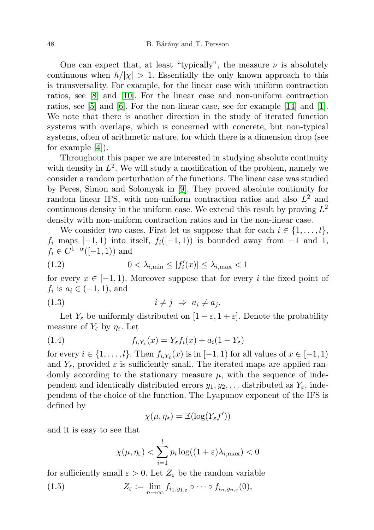One can expect that, at least "typically", the measure  $\nu$  is absolutely continuous when  $h/|\chi| > 1$ . Essentially the only known approach to this is transversality. For example, for the linear case with uniform contraction ratios, see [\[8\]](#page-14-2) and [\[10\]](#page-15-0). For the linear case and non-uniform contraction ratios, see [\[5\]](#page-14-3) and [\[6\]](#page-14-4). For the non-linear case, see for example [\[14\]](#page-15-1) and [\[1\]](#page-14-5). We note that there is another direction in the study of iterated function systems with overlaps, which is concerned with concrete, but non-typical systems, often of arithmetic nature, for which there is a dimension drop (see for example [\[4\]](#page-14-6)).

Throughout this paper we are interested in studying absolute continuity with density in  $L^2$ . We will study a modification of the problem, namely we consider a random perturbation of the functions. The linear case was studied by Peres, Simon and Solomyak in [\[9\]](#page-15-2). They proved absolute continuity for random linear IFS, with non-uniform contraction ratios and also  $L^2$  and continuous density in the uniform case. We extend this result by proving  $L^2$ density with non-uniform contraction ratios and in the non-linear case.

We consider two cases. First let us suppose that for each  $i \in \{1, \ldots, l\}$ ,  $f_i$  maps  $[-1, 1)$  into itself,  $f_i([-1, 1))$  is bounded away from  $-1$  and 1,  $f_i \in C^{1+\alpha}([-1,1))$  and

<span id="page-1-1"></span>
$$
(1.2) \t\t 0 < \lambda_{i,\min} \le |f'_i(x)| \le \lambda_{i,\max} < 1
$$

for every  $x \in [-1,1)$ . Moreover suppose that for every i the fixed point of  $f_i$  is  $a_i \in (-1,1)$ , and

<span id="page-1-2"></span>
$$
(1.3) \t\t i \neq j \Rightarrow a_i \neq a_j.
$$

Let  $Y_{\varepsilon}$  be uniformly distributed on  $[1 - \varepsilon, 1 + \varepsilon]$ . Denote the probability measure of  $Y_{\varepsilon}$  by  $\eta_{\varepsilon}$ . Let

(1.4) 
$$
f_{i,Y_{\varepsilon}}(x) = Y_{\varepsilon}f_i(x) + a_i(1 - Y_{\varepsilon})
$$

for every  $i \in \{1, ..., l\}$ . Then  $f_{i,Y_{\varepsilon}}(x)$  is in  $[-1, 1)$  for all values of  $x \in [-1, 1)$ and  $Y_{\varepsilon}$ , provided  $\varepsilon$  is sufficiently small. The iterated maps are applied randomly according to the stationary measure  $\mu$ , with the sequence of independent and identically distributed errors  $y_1, y_2, \ldots$  distributed as  $Y_{\varepsilon}$ , independent of the choice of the function. The Lyapunov exponent of the IFS is defined by

$$
\chi(\mu,\eta_{\varepsilon})=\mathbb{E}(\log(Y_{\varepsilon}f'))
$$

and it is easy to see that

<span id="page-1-0"></span>
$$
\chi(\mu, \eta_{\varepsilon}) < \sum_{i=1}^{l} p_i \log((1+\varepsilon)\lambda_{i, \max}) < 0
$$

for sufficiently small  $\varepsilon > 0$ . Let  $Z_{\varepsilon}$  be the random variable

(1.5) 
$$
Z_{\varepsilon} := \lim_{n \to \infty} f_{i_1, y_{1, \varepsilon}} \circ \cdots \circ f_{i_n, y_{n, \varepsilon}}(0),
$$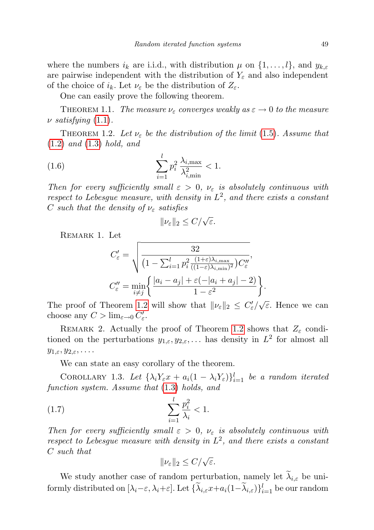where the numbers  $i_k$  are i.i.d., with distribution  $\mu$  on  $\{1, \ldots, l\}$ , and  $y_{k,\varepsilon}$ are pairwise independent with the distribution of  $Y_{\varepsilon}$  and also independent of the choice of  $i_k$ . Let  $\nu_{\varepsilon}$  be the distribution of  $Z_{\varepsilon}$ .

One can easily prove the following theorem.

THEOREM 1.1. The measure  $\nu_{\varepsilon}$  converges weakly as  $\varepsilon \to 0$  to the measure  $\nu$  satisfying  $(1.1)$ .

<span id="page-2-0"></span>THEOREM 1.2. Let  $\nu_{\varepsilon}$  be the distribution of the limit [\(1.5\)](#page-1-0). Assume that  $(1.2)$  and  $(1.3)$  hold, and

(1.6) 
$$
\sum_{i=1}^{l} p_i^2 \frac{\lambda_{i,\max}}{\lambda_{i,\min}^2} < 1.
$$

Then for every sufficiently small  $\varepsilon > 0$ ,  $\nu_{\varepsilon}$  is absolutely continuous with respect to Lebesgue measure, with density in  $L^2$ , and there exists a constant C such that the density of  $\nu_{\varepsilon}$  satisfies

<span id="page-2-3"></span>
$$
\|\nu_{\varepsilon}\|_2 \le C/\sqrt{\varepsilon}.
$$

<span id="page-2-1"></span>REMARK 1. Let

$$
C'_{\varepsilon} = \sqrt{\frac{32}{\left(1 - \sum_{i=1}^{l} p_i^2 \frac{(1+\varepsilon)\lambda_{i,\max}}{((1-\varepsilon)\lambda_{i,\min})^2}\right) C''_{\varepsilon}}},
$$

$$
C''_{\varepsilon} = \min_{i \neq j} \left\{ \frac{|a_i - a_j| + \varepsilon(-|a_i + a_j| - 2)}{1 - \varepsilon^2} \right\}
$$

.

The proof of Theorem [1.2](#page-2-0) will show that  $\|\nu_{\varepsilon}\|_2 \leq C'_{\varepsilon}/\sqrt{\varepsilon}$ . Hence we can choose any  $C > \lim_{\varepsilon \to 0} C_{\varepsilon}'$ .

REMARK 2. Actually the proof of Theorem [1.2](#page-2-0) shows that  $Z_{\varepsilon}$  conditioned on the perturbations  $y_{1,\varepsilon}, y_{2,\varepsilon}, \ldots$  has density in  $L^2$  for almost all  $y_{1,\varepsilon}, y_{2,\varepsilon}, \ldots$ 

We can state an easy corollary of the theorem.

<span id="page-2-2"></span>COROLLARY 1.3. Let  $\{\lambda_i Y_\varepsilon x + a_i(1-\lambda_i Y_\varepsilon)\}_{i=1}^l$  be a random iterated function system. Assume that [\(1.3\)](#page-1-2) holds, and

(1.7) 
$$
\sum_{i=1}^{l} \frac{p_i^2}{\lambda_i} < 1.
$$

Then for every sufficiently small  $\varepsilon > 0$ ,  $\nu_{\varepsilon}$  is absolutely continuous with respect to Lebesgue measure with density in  $L^2$ , and there exists a constant C such that

$$
\|\nu_{\varepsilon}\|_2 \le C/\sqrt{\varepsilon}.
$$

We study another case of random perturbation, namely let  $\tilde{\lambda}_{i,\varepsilon}$  be uniformly distributed on  $[\lambda_i-\varepsilon,\lambda_i+\varepsilon]$ . Let  $\{\tilde{\lambda}_{i,\varepsilon}x+a_i(1-\tilde{\lambda}_{i,\varepsilon})\}_{i=1}^l$  be our random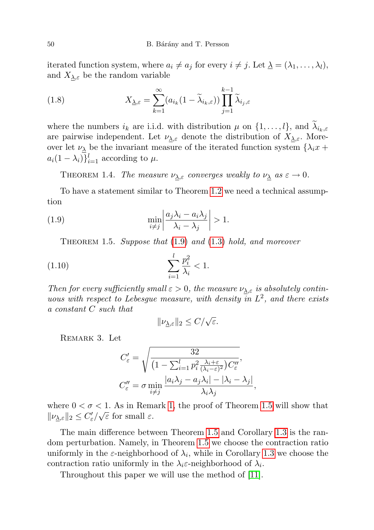iterated function system, where  $a_i \neq a_j$  for every  $i \neq j$ . Let  $\underline{\lambda} = (\lambda_1, \ldots, \lambda_l)$ , and  $X_{\lambda,\varepsilon}$  be the random variable

(1.8) 
$$
X_{\underline{\lambda},\varepsilon} = \sum_{k=1}^{\infty} (a_{i_k}(1-\widetilde{\lambda}_{i_k,\varepsilon})) \prod_{j=1}^{k-1} \widetilde{\lambda}_{i_j,\varepsilon}
$$

where the numbers  $i_k$  are i.i.d. with distribution  $\mu$  on  $\{1, \ldots, l\}$ , and  $\lambda_{i_k, \varepsilon}$ are pairwise independent. Let  $\nu_{\lambda,\varepsilon}$  denote the distribution of  $X_{\lambda,\varepsilon}$ . Moreover let  $\nu_{\lambda}$  be the invariant measure of the iterated function system  $\{\lambda_i x + \lambda_j x\}$  $a_i(1-\lambda_i)\}_{i=1}^l$  according to  $\mu$ .

THEOREM 1.4. The measure  $\nu_{\lambda,\varepsilon}$  converges weakly to  $\nu_{\lambda}$  as  $\varepsilon \to 0$ .

To have a statement similar to Theorem [1.2](#page-2-0) we need a technical assumption

(1.9) 
$$
\min_{i \neq j} \left| \frac{a_j \lambda_i - a_i \lambda_j}{\lambda_i - \lambda_j} \right| > 1.
$$

<span id="page-3-1"></span><span id="page-3-0"></span>THEOREM 1.5. Suppose that  $(1.9)$  and  $(1.3)$  hold, and moreover

(1.10) 
$$
\sum_{i=1}^{l} \frac{p_i^2}{\lambda_i} < 1.
$$

Then for every sufficiently small  $\varepsilon > 0$ , the measure  $\nu_{\lambda,\varepsilon}$  is absolutely continuous with respect to Lebesgue measure, with density  $\overline{in} L^2$ , and there exists a constant C such that

$$
\|\nu_{\underline{\lambda},\varepsilon}\|_2 \le C/\sqrt{\varepsilon}.
$$

Remark 3. Let

$$
C'_{\varepsilon} = \sqrt{\frac{32}{\left(1 - \sum_{i=1}^{l} p_i^2 \frac{\lambda_i + \varepsilon}{(\lambda_i - \varepsilon)^2}\right) C''_{\varepsilon}}},
$$
  

$$
C''_{\varepsilon} = \sigma \min_{i \neq j} \frac{|a_i \lambda_j - a_j \lambda_i| - |\lambda_i - \lambda_j|}{\lambda_i \lambda_j},
$$

where  $0 < \sigma < 1$ . As in Remark [1,](#page-2-1) the proof of Theorem [1.5](#page-3-1) will show that  $\|\nu_{\underline{\lambda},\varepsilon}\|_2 \leq C'_{\varepsilon}/\sqrt{\varepsilon}$  for small  $\varepsilon$ .

The main difference between Theorem [1.5](#page-3-1) and Corollary [1.3](#page-2-2) is the random perturbation. Namely, in Theorem [1.5](#page-3-1) we choose the contraction ratio uniformly in the  $\varepsilon$ -neighborhood of  $\lambda_i$ , while in Corollary [1.3](#page-2-2) we choose the contraction ratio uniformly in the  $\lambda_i \varepsilon$ -neighborhood of  $\lambda_i$ .

<span id="page-3-2"></span>Throughout this paper we will use the method of [\[11\]](#page-15-3).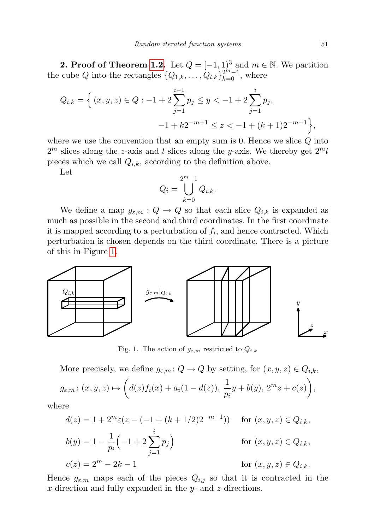2. Proof of Theorem [1.2.](#page-2-0) Let  $Q = [-1,1)^3$  and  $m \in \mathbb{N}$ . We partition the cube Q into the rectangles  $\{Q_{1,k}, \ldots, Q_{l,k}\}_{k=0}^{2^m-1}$ , where

$$
Q_{i,k} = \left\{ (x, y, z) \in Q : -1 + 2 \sum_{j=1}^{i-1} p_j \le y < -1 + 2 \sum_{j=1}^{i} p_j, -1 + k2^{-m+1} \le z < -1 + (k+1)2^{-m+1} \right\},\
$$

where we use the convention that an empty sum is  $0$ . Hence we slice  $Q$  into  $2<sup>m</sup>$  slices along the z-axis and l slices along the y-axis. We thereby get  $2<sup>m</sup>l$ pieces which we call  $Q_{i,k}$ , according to the definition above.

Let

$$
Q_i = \bigcup_{k=0}^{2^m - 1} Q_{i,k}.
$$

We define a map  $g_{\varepsilon,m}: Q \to Q$  so that each slice  $Q_{i,k}$  is expanded as much as possible in the second and third coordinates. In the first coordinate it is mapped according to a perturbation of  $f_i$ , and hence contracted. Which perturbation is chosen depends on the third coordinate. There is a picture of this in Figure [1.](#page-4-0)



<span id="page-4-0"></span>Fig. 1. The action of  $g_{\varepsilon,m}$  restricted to  $Q_{i,k}$ 

More precisely, we define  $g_{\varepsilon,m}: Q \to Q$  by setting, for  $(x, y, z) \in Q_{i,k}$ ,  $g_{\varepsilon,m} : (x, y, z) \mapsto \left( d(z) f_i(x) + a_i(1 - d(z)), \frac{1}{z} \right)$  $\frac{1}{p_i}y + b(y), \ 2^m z + c(z)$ ,

where

$$
d(z) = 1 + 2^{m} \varepsilon (z - (-1 + (k + 1/2)2^{-m+1})) \quad \text{for } (x, y, z) \in Q_{i,k},
$$
  
\n
$$
b(y) = 1 - \frac{1}{p_i} \left( -1 + 2 \sum_{j=1}^{i} p_j \right) \qquad \text{for } (x, y, z) \in Q_{i,k},
$$
  
\n
$$
c(z) = 2^{m} - 2k - 1 \qquad \text{for } (x, y, z) \in Q_{i,k}.
$$

Hence  $g_{\varepsilon,m}$  maps each of the pieces  $Q_{i,j}$  so that it is contracted in the x-direction and fully expanded in the y- and z-directions.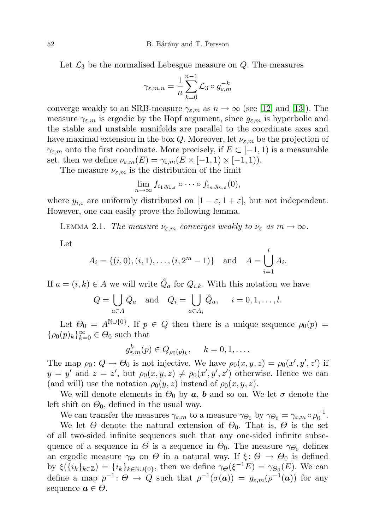Let  $\mathcal{L}_3$  be the normalised Lebesgue measure on Q. The measures

$$
\gamma_{\varepsilon,m,n} = \frac{1}{n} \sum_{k=0}^{n-1} \mathcal{L}_3 \circ g_{\varepsilon,m}^{-k}
$$

converge weakly to an SRB-measure  $\gamma_{\varepsilon,m}$  as  $n \to \infty$  (see [\[12\]](#page-15-4) and [\[13\]](#page-15-5)). The measure  $\gamma_{\varepsilon,m}$  is ergodic by the Hopf argument, since  $g_{\varepsilon,m}$  is hyperbolic and the stable and unstable manifolds are parallel to the coordinate axes and have maximal extension in the box Q. Moreover, let  $\nu_{\varepsilon,m}$  be the projection of  $\gamma_{\varepsilon,m}$  onto the first coordinate. More precisely, if  $E \subset [-1,1)$  is a measurable set, then we define  $\nu_{\varepsilon,m}(E) = \gamma_{\varepsilon,m}(E \times [-1,1) \times [-1,1)).$ 

The measure  $\nu_{\varepsilon,m}$  is the distribution of the limit

$$
\lim_{n\to\infty}f_{i_1,y_{1,\varepsilon}}\circ\cdots\circ f_{i_n,y_{n,\varepsilon}}(0),
$$

where  $y_{i,\varepsilon}$  are uniformly distributed on  $[1-\varepsilon, 1+\varepsilon]$ , but not independent. However, one can easily prove the following lemma.

LEMMA 2.1. The measure  $\nu_{\varepsilon,m}$  converges weakly to  $\nu_{\varepsilon}$  as  $m \to \infty$ .

Let

$$
A_i = \{(i, 0), (i, 1), \dots, (i, 2^m - 1)\}
$$
 and  $A = \bigcup_{i=1}^l A_i$ .

If  $a = (i, k) \in A$  we will write  $\hat{Q}_a$  for  $Q_{i,k}$ . With this notation we have

$$
Q = \bigcup_{a \in A} \hat{Q}_a \quad \text{and} \quad Q_i = \bigcup_{a \in A_i} \hat{Q}_a, \quad i = 0, 1, \dots, l.
$$

Let  $\Theta_0 = A^{\mathbb{N} \cup \{0\}}$ . If  $p \in Q$  then there is a unique sequence  $\rho_0(p) =$  $\{\rho_0(p)_k\}_{k=0}^\infty\in\Theta_0$  such that

$$
g_{\varepsilon,m}^k(p) \in Q_{\rho_0(p)_k}, \quad k = 0, 1, \dots.
$$

The map  $\rho_0: Q \to \Theta_0$  is not injective. We have  $\rho_0(x, y, z) = \rho_0(x', y', z')$  if  $y = y'$  and  $z = z'$ , but  $\rho_0(x, y, z) \neq \rho_0(x', y', z')$  otherwise. Hence we can (and will) use the notation  $\rho_0(y, z)$  instead of  $\rho_0(x, y, z)$ .

We will denote elements in  $\Theta_0$  by  $\boldsymbol{a}, \boldsymbol{b}$  and so on. We let  $\sigma$  denote the left shift on  $\Theta_0$ , defined in the usual way.

We can transfer the measures  $\gamma_{\varepsilon,m}$  to a measure  $\gamma_{\Theta_0}$  by  $\gamma_{\Theta_0} = \gamma_{\varepsilon,m} \circ \rho_0^{-1}$ .

We let  $\Theta$  denote the natural extension of  $\Theta_0$ . That is,  $\Theta$  is the set of all two-sided infinite sequences such that any one-sided infinite subsequence of a sequence in  $\Theta$  is a sequence in  $\Theta_0$ . The measure  $\gamma_{\Theta_0}$  defines an ergodic measure  $\gamma_{\Theta}$  on  $\Theta$  in a natural way. If  $\xi : \Theta \to \Theta_0$  is defined by  $\xi(\{i_k\}_{k\in\mathbb{Z}}) = \{i_k\}_{k\in\mathbb{N}\cup\{0\}}$ , then we define  $\gamma_{\Theta}(\xi^{-1}E) = \gamma_{\Theta_0}(E)$ . We can define a map  $\rho^{-1}$ :  $\Theta \to Q$  such that  $\rho^{-1}(\sigma(a)) = g_{\varepsilon,m}(\rho^{-1}(a))$  for any sequence  $a \in \Theta$ .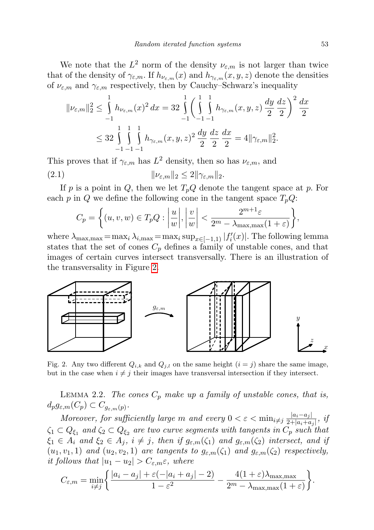We note that the  $L^2$  norm of the density  $\nu_{\varepsilon,m}$  is not larger than twice that of the density of  $\gamma_{\varepsilon,m}$ . If  $h_{\nu_{\varepsilon,m}}(x)$  and  $h_{\gamma_{\varepsilon,m}}(x,y,z)$  denote the densities of  $\nu_{\varepsilon,m}$  and  $\gamma_{\varepsilon,m}$  respectively, then by Cauchy–Schwarz's inequality

$$
\|\nu_{\varepsilon,m}\|_2^2 \le \int_{-1}^1 h_{\nu_{\varepsilon,m}}(x)^2 dx = 32 \int_{-1}^1 \left( \int_{-1}^1 \int_{-1}^1 h_{\gamma_{\varepsilon,m}}(x, y, z) \frac{dy}{2} \frac{dz}{2} \right)^2 \frac{dx}{2}
$$
  

$$
\le 32 \int_{-1}^1 \int_{-1}^1 \int_{-\infty}^1 h_{\gamma_{\varepsilon,m}}(x, y, z)^2 \frac{dy}{2} \frac{dz}{2} \frac{dx}{2} = 4 \|\gamma_{\varepsilon,m}\|_2^2.
$$

This proves that if  $\gamma_{\varepsilon,m}$  has  $L^2$  density, then so has  $\nu_{\varepsilon,m}$ , and (2.1)  $\|\nu_{\varepsilon,m}\|_2 \leq 2\|\gamma_{\varepsilon,m}\|_2.$ 

If p is a point in  $Q$ , then we let  $T_pQ$  denote the tangent space at p. For each p in Q we define the following cone in the tangent space  $T_pQ$ :

<span id="page-6-2"></span>
$$
C_p = \left\{ (u, v, w) \in T_p Q : \left| \frac{u}{w} \right|, \left| \frac{v}{w} \right| < \frac{2^{m+1} \varepsilon}{2^m - \lambda_{\max, \max}(1+\varepsilon)} \right\},\
$$

where  $\lambda_{\max, \max} = \max_i \lambda_{i, \max} = \max_i \sup_{x \in [-1,1)} |f'_i(x)|$ . The following lemma states that the set of cones  $C_p$  defines a family of unstable cones, and that images of certain curves intersect transversally. There is an illustration of the transversality in Figure [2.](#page-6-0)



<span id="page-6-0"></span>Fig. 2. Any two different  $Q_{i,k}$  and  $Q_{j,l}$  on the same height  $(i = j)$  share the same image, but in the case when  $i \neq j$  their images have transversal intersection if they intersect.

<span id="page-6-1"></span>LEMMA 2.2. The cones  $C_p$  make up a family of unstable cones, that is,  $d_p g_{\varepsilon,m}(C_p) \subset C_{g_{\varepsilon,m}(p)}.$ 

Moreover, for sufficiently large m and every  $0 < \varepsilon < \min_{i \neq j} \frac{|a_i - a_j|}{2 + |a_i| + a_j}$  $rac{|a_i-a_j|}{2+|a_i+a_j|}$ , if  $\zeta_1\subset Q_{\xi_1}$  and  $\zeta_2\subset Q_{\xi_2}$  are two curve segments with tangents in  $C_p$  such that  $\xi_1 \in A_i$  and  $\xi_2 \in A_j$ ,  $i \neq j$ , then if  $g_{\varepsilon,m}(\zeta_1)$  and  $g_{\varepsilon,m}(\zeta_2)$  intersect, and if  $(u_1, v_1, 1)$  and  $(u_2, v_2, 1)$  are tangents to  $g_{\varepsilon,m}(\zeta_1)$  and  $g_{\varepsilon,m}(\zeta_2)$  respectively, it follows that  $|u_1 - u_2| > C_{\varepsilon,m} \varepsilon$ , where

$$
C_{\varepsilon,m} = \min_{i \neq j} \left\{ \frac{|a_i - a_j| + \varepsilon(-|a_i + a_j| - 2)}{1 - \varepsilon^2} - \frac{4(1 + \varepsilon)\lambda_{\max,\max}}{2^m - \lambda_{\max,\max}(1 + \varepsilon)} \right\}.
$$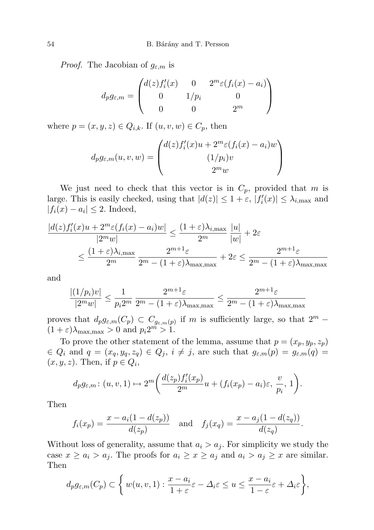*Proof.* The Jacobian of  $g_{\varepsilon,m}$  is

$$
d_p g_{\varepsilon,m} = \begin{pmatrix} d(z) f_i'(x) & 0 & 2^m \varepsilon (f_i(x) - a_i) \\ 0 & 1/p_i & 0 \\ 0 & 0 & 2^m \end{pmatrix}
$$

where  $p = (x, y, z) \in Q_{i,k}$ . If  $(u, v, w) \in C_p$ , then

$$
d_p g_{\varepsilon,m}(u,v,w) = \begin{pmatrix} d(z)f_i'(x)u + 2^m \varepsilon (f_i(x) - a_i)w \\ (1/p_i)v \\ 2^m w \end{pmatrix}
$$

We just need to check that this vector is in  $C_p$ , provided that m is large. This is easily checked, using that  $|d(z)| \leq 1 + \varepsilon$ ,  $|f'_i(x)| \leq \lambda_{i,\text{max}}$  and  $|f_i(x) - a_i| \leq 2$ . Indeed,

$$
\frac{|d(z)f'_i(x)u + 2^m \varepsilon (f_i(x) - a_i)w|}{|2^m w|} \le \frac{(1+\varepsilon)\lambda_{i,\max}}{2^m} \frac{|u|}{|w|} + 2\varepsilon
$$
  

$$
\le \frac{(1+\varepsilon)\lambda_{i,\max}}{2^m} \frac{2^{m+1}\varepsilon}{2^m - (1+\varepsilon)\lambda_{\max,\max}} + 2\varepsilon \le \frac{2^{m+1}\varepsilon}{2^m - (1+\varepsilon)\lambda_{\max,\max}}
$$

and

$$
\frac{|(1/p_i)v|}{|2^m w|} \le \frac{1}{p_i 2^m} \frac{2^{m+1}\varepsilon}{2^m - (1+\varepsilon)\lambda_{\max,\max}} \le \frac{2^{m+1}\varepsilon}{2^m - (1+\varepsilon)\lambda_{\max,\max}}
$$

proves that  $d_p g_{\varepsilon,m}(C_p) \subset C_{g_{\varepsilon,m}(p)}$  if m is sufficiently large, so that  $2^m$  –  $(1+\varepsilon)\lambda_{\max,\max} > 0$  and  $p_i 2^m > 1$ .

To prove the other statement of the lemma, assume that  $p = (x_p, y_p, z_p)$  $\in Q_i$  and  $q = (x_q, y_q, z_q) \in Q_j$ ,  $i \neq j$ , are such that  $g_{\varepsilon,m}(p) = g_{\varepsilon,m}(q)$  $(x, y, z)$ . Then, if  $p \in Q_i$ ,

$$
d_pg_{\varepsilon,m}: (u, v, 1) \mapsto 2^m \bigg( \frac{d(z_p) f_i'(x_p)}{2^m} u + (f_i(x_p) - a_i)\varepsilon, \frac{v}{p_i}, 1 \bigg).
$$

Then

$$
f_i(x_p) = \frac{x - a_i(1 - d(z_p))}{d(z_p)}
$$
 and  $f_j(x_q) = \frac{x - a_j(1 - d(z_q))}{d(z_q)}$ .

Without loss of generality, assume that  $a_i > a_j$ . For simplicity we study the case  $x \ge a_i > a_j$ . The proofs for  $a_i \ge x \ge a_j$  and  $a_i > a_j \ge x$  are similar. Then

$$
d_p g_{\varepsilon,m}(C_p) \subset \left\{ w(u,v,1) : \frac{x-a_i}{1+\varepsilon} \varepsilon - \Delta_i \varepsilon \le u \le \frac{x-a_i}{1-\varepsilon} \varepsilon + \Delta_i \varepsilon \right\},\
$$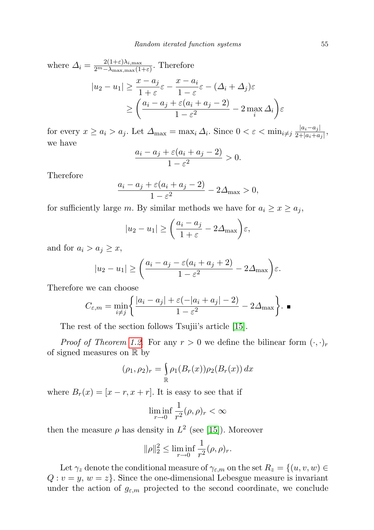where  $\Delta_i = \frac{2(1+\varepsilon)\lambda_{i,\max}}{2^m - \lambda_{\max} \max(1+\varepsilon)}$  $\frac{2(1+\epsilon)\lambda_{i,\max}}{2^m-\lambda_{\max,\max}(1+\epsilon)}$ . Therefore

$$
|u_2 - u_1| \ge \frac{x - a_j}{1 + \varepsilon} \varepsilon - \frac{x - a_i}{1 - \varepsilon} \varepsilon - (\Delta_i + \Delta_j) \varepsilon
$$
  
 
$$
\ge \left(\frac{a_i - a_j + \varepsilon(a_i + a_j - 2)}{1 - \varepsilon^2} - 2 \max_i \Delta_i\right) \varepsilon
$$

for every  $x \ge a_i > a_j$ . Let  $\Delta_{\max} = \max_i \Delta_i$ . Since  $0 < \varepsilon < \min_{i \ne j} \frac{|a_i - a_j|}{2 + |a_i + a_j|}$  $\frac{|a_i-a_j|}{2+|a_i+a_j|}$ we have

$$
\frac{a_i - a_j + \varepsilon (a_i + a_j - 2)}{1 - \varepsilon^2} > 0.
$$

Therefore

$$
\frac{a_i - a_j + \varepsilon (a_i + a_j - 2)}{1 - \varepsilon^2} - 2\Delta_{\text{max}} > 0,
$$

for sufficiently large m. By similar methods we have for  $a_i \geq x \geq a_j$ ,

$$
|u_2 - u_1| \ge \left(\frac{a_i - a_j}{1 + \varepsilon} - 2\Delta_{\max}\right)\varepsilon,
$$

and for  $a_i > a_j \geq x$ ,

$$
|u_2 - u_1| \ge \left(\frac{a_i - a_j - \varepsilon (a_i + a_j + 2)}{1 - \varepsilon^2} - 2\Delta_{\max}\right)\varepsilon.
$$

Therefore we can choose

$$
C_{\varepsilon,m} = \min_{i \neq j} \left\{ \frac{|a_i - a_j| + \varepsilon(-|a_i + a_j| - 2)}{1 - \varepsilon^2} - 2\Delta_{\max} \right\}.
$$

The rest of the section follows Tsujii's article [\[15\]](#page-15-6).

*Proof of Theorem [1.2](#page-2-0).* For any  $r > 0$  we define the bilinear form  $(\cdot, \cdot)_r$ of signed measures on R by

$$
(\rho_1, \rho_2)_r = \int_{\mathbb{R}} \rho_1(B_r(x)) \rho_2(B_r(x)) dx
$$

where  $B_r(x) = [x - r, x + r]$ . It is easy to see that if

$$
\liminf_{r \to 0} \frac{1}{r^2} (\rho, \rho)_r < \infty
$$

then the measure  $\rho$  has density in  $L^2$  (see [\[15\]](#page-15-6)). Moreover

$$
\|\rho\|_2^2 \le \liminf_{r \to 0} \frac{1}{r^2} (\rho, \rho)_r.
$$

Let  $\gamma_z$  denote the conditional measure of  $\gamma_{\varepsilon,m}$  on the set  $R_z = \{(u, v, w) \in$  $Q: v = y, w = z$ . Since the one-dimensional Lebesgue measure is invariant under the action of  $g_{\varepsilon,m}$  projected to the second coordinate, we conclude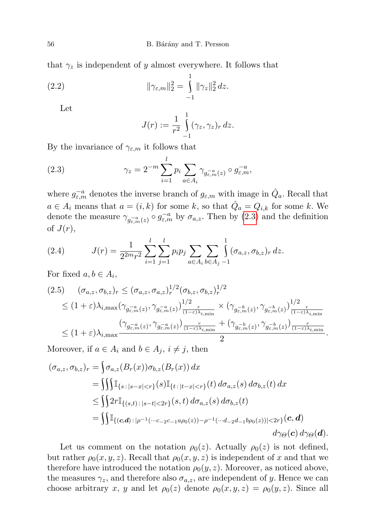that  $\gamma_z$  is independent of y almost everywhere. It follows that

(2.2) 
$$
\|\gamma_{\varepsilon,m}\|_2^2 = \int_{-1}^1 \|\gamma_z\|_2^2 dz.
$$

Let

<span id="page-9-3"></span><span id="page-9-0"></span>
$$
J(r) := \frac{1}{r^2} \int_{-1}^1 (\gamma_z, \gamma_z)_r dz.
$$

By the invariance of  $\gamma_{\varepsilon,m}$  it follows that

(2.3) 
$$
\gamma_z = 2^{-m} \sum_{i=1}^l p_i \sum_{a \in A_i} \gamma_{g_{\varepsilon,m}^{-a}(z)} \circ g_{\varepsilon,m}^{-a},
$$

where  $g_{\varepsilon,m}^{-a}$  denotes the inverse branch of  $g_{\varepsilon,m}$  with image in  $\hat{Q}_a$ . Recall that  $a \in A_i$  means that  $a = (i, k)$  for some k, so that  $\hat{Q}_a = Q_{i,k}$  for some k. We denote the measure  $\gamma_{g_{\varepsilon,m}^{-a}(z)} \circ g_{\varepsilon,m}^{-a}$  by  $\sigma_{a,z}$ . Then by [\(2.3\)](#page-9-0) and the definition of  $J(r)$ ,

<span id="page-9-1"></span>(2.4) 
$$
J(r) = \frac{1}{2^{2m}r^2} \sum_{i=1}^{l} \sum_{j=1}^{l} p_i p_j \sum_{a \in A_i} \sum_{b \in A_j} \int_{-1}^{1} (\sigma_{a,z}, \sigma_{b,z})_r dz.
$$

For fixed  $a, b \in A_i$ ,

<span id="page-9-2"></span>
$$
(2.5) \quad (\sigma_{a,z}, \sigma_{b,z})_r \leq (\sigma_{a,z}, \sigma_{a,z})_r^{1/2} (\sigma_{b,z}, \sigma_{b,z})_r^{1/2}
$$
  
\n
$$
\leq (1+\varepsilon)\lambda_{i,\max} (\gamma_{g_{\varepsilon,m}^{-a}(z)}, \gamma_{g_{\varepsilon,m}^{-a}(z)})_{\frac{1}{(1-\varepsilon)\lambda_{i,\min}}}^{1/2} \times (\gamma_{g_{\varepsilon,m}^{-b}(z)}, \gamma_{g_{\varepsilon,m}^{-b}(z)})_{\frac{1}{(1-\varepsilon)\lambda_{i,\min}}}^{1/2}
$$
  
\n
$$
\leq (1+\varepsilon)\lambda_{i,\max} \frac{(\gamma_{g_{\varepsilon,m}^{-a}(z)}, \gamma_{g_{\varepsilon,m}^{-a}(z)})_{\frac{r}{(1-\varepsilon)\lambda_{i,\min}}}^{r}}{2} + (\gamma_{g_{\varepsilon,m}^{-b}(z)}, \gamma_{g_{\varepsilon,m}^{-b}(z)})_{\frac{r}{(1-\varepsilon)\lambda_{i,\min}}}^{r}}.
$$

Moreover, if  $a \in A_i$  and  $b \in A_j$ ,  $i \neq j$ , then

$$
(\sigma_{a,z}, \sigma_{b,z})_r = \int \sigma_{a,z}(B_r(x))\sigma_{b,z}(B_r(x)) dx
$$
  
\n
$$
= \iiint_{s: |s-x| < r} (s) \mathbb{I}_{\{t: |t-x| < r\}}(t) d\sigma_{a,z}(s) d\sigma_{b,z}(t) dx
$$
  
\n
$$
\leq \iint 2r \mathbb{I}_{\{(s,t): |s-t| < 2r\}}(s,t) d\sigma_{a,z}(s) d\sigma_{b,z}(t)
$$
  
\n
$$
= \iint \mathbb{I}_{\{(c,d): |\rho^{-1}(\cdots c_{-2}c_{-1}a\rho_0(z)) - \rho^{-1}(\cdots d_{-2}d_{-1}b\rho_0(z))| < 2r\}}(c,d)
$$
  
\n
$$
d\gamma_{\Theta}(c) d\gamma_{\Theta}(d).
$$

Let us comment on the notation  $\rho_0(z)$ . Actually  $\rho_0(z)$  is not defined, but rather  $\rho_0(x, y, z)$ . Recall that  $\rho_0(x, y, z)$  is independent of x and that we therefore have introduced the notation  $\rho_0(y, z)$ . Moreover, as noticed above, the measures  $\gamma_z$ , and therefore also  $\sigma_{a,z}$ , are independent of y. Hence we can choose arbitrary x, y and let  $\rho_0(z)$  denote  $\rho_0(x, y, z) = \rho_0(y, z)$ . Since all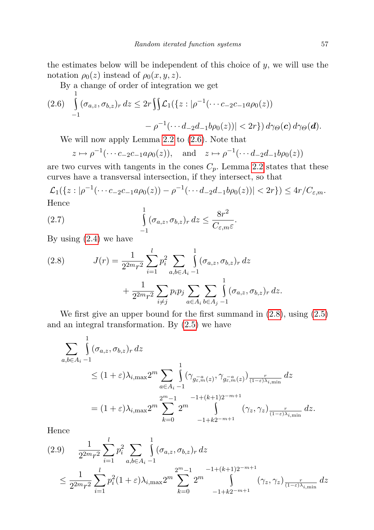<span id="page-10-0"></span>
$$
(2.6) \int_{-1}^{1} (\sigma_{a,z}, \sigma_{b,z})_r dz \le 2r \iint \mathcal{L}_1(\{z : |\rho^{-1}(\cdots c_{-2}c_{-1}a\rho_0(z)) - \rho^{-1}(\cdots d_{-2}d_{-1}b\rho_0(z))| < 2r\}) d\gamma_{\Theta}(\mathbf{c}) d\gamma_{\Theta}(\mathbf{d}).
$$

We will now apply Lemma [2.2](#page-6-1) to [\(2.6\)](#page-10-0). Note that

$$
z \mapsto \rho^{-1}(\cdots c_{-2}c_{-1}a\rho_0(z)),
$$
 and  $z \mapsto \rho^{-1}(\cdots d_{-2}d_{-1}b\rho_0(z))$ 

are two curves with tangents in the cones  $C_p$ . Lemma [2.2](#page-6-1) states that these curves have a transversal intersection, if they intersect, so that

 $\mathcal{L}_1({z : |\rho^{-1}(\cdots c_{-2}c_{-1}a\rho_0(z)) - \rho^{-1}(\cdots d_{-2}d_{-1}b\rho_0(z))| < 2r}) \leq 4r/C_{\varepsilon,m}.$ Hence 1

<span id="page-10-2"></span>(2.7) 
$$
\int_{-1}^{1} (\sigma_{a,z}, \sigma_{b,z})_r dz \leq \frac{8r^2}{C_{\varepsilon,m}\varepsilon}.
$$

By using  $(2.4)$  we have

<span id="page-10-1"></span>(2.8) 
$$
J(r) = \frac{1}{2^{2m}r^2} \sum_{i=1}^{l} p_i^2 \sum_{a,b \in A_i} \int_{-1}^{1} (\sigma_{a,z}, \sigma_{b,z})_r dz + \frac{1}{2^{2m}r^2} \sum_{i \neq j} p_i p_j \sum_{a \in A_i} \sum_{b \in A_j} \int_{-1}^{1} (\sigma_{a,z}, \sigma_{b,z})_r dz.
$$

We first give an upper bound for the first summand in [\(2.8\)](#page-10-1), using [\(2.5\)](#page-9-2) and an integral transformation. By [\(2.5\)](#page-9-2) we have

$$
\sum_{a,b\in A_i-1} \int_{-\infty}^{1} (\sigma_{a,z}, \sigma_{b,z})_r dz
$$
\n
$$
\leq (1+\varepsilon)\lambda_{i,\max} 2^m \sum_{a\in A_i-1} \int_{-\infty}^{1} (\gamma_{g_{\varepsilon,m}^{-a}(z)}, \gamma_{g_{\varepsilon,m}^{-a}(z)})_{\frac{r}{(1-\varepsilon)\lambda_{i,\min}}} dz
$$
\n
$$
= (1+\varepsilon)\lambda_{i,\max} 2^m \sum_{k=0}^{2^m-1} 2^m \int_{-1+k2^{-m+1}}^{1+(k+1)2^{-m+1}} (\gamma_z, \gamma_z)_{\frac{r}{(1-\varepsilon)\lambda_{i,\min}}} dz.
$$

Hence

l

1

<span id="page-10-3"></span>
$$
(2.9) \quad \frac{1}{2^{2m}r^2} \sum_{i=1}^{l} p_i^2 \sum_{a,b \in A_i} \int_{1}^{1} (\sigma_{a,z}, \sigma_{b,z})_r \, dz
$$
\n
$$
\leq \frac{1}{2^{2m}r^2} \sum_{i=1}^{l} p_i^2 (1+\varepsilon) \lambda_{i,\max} 2^m \sum_{k=0}^{2^m-1} 2^m \int_{-1+k2^{-m+1}}^{1+(k+1)2^{-m+1}} (\gamma_z, \gamma_z) \frac{r}{(1-\varepsilon)\lambda_{i,\min}} \, dz
$$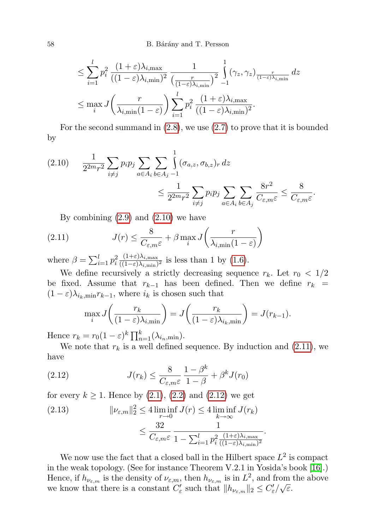$$
\leq \sum_{i=1}^{l} p_i^2 \frac{(1+\varepsilon)\lambda_{i,\max}}{((1-\varepsilon)\lambda_{i,\min})^2} \frac{1}{\left(\frac{r}{(1-\varepsilon)\lambda_{i,\min}}\right)^2} \int_{-1}^1 (\gamma_z, \gamma_z) \frac{r}{(1-\varepsilon)\lambda_{i,\min}} dz
$$
  

$$
\leq \max_i J\left(\frac{r}{\lambda_{i,\min}(1-\varepsilon)}\right) \sum_{i=1}^{l} p_i^2 \frac{(1+\varepsilon)\lambda_{i,\max}}{((1-\varepsilon)\lambda_{i,\min})^2}.
$$

For the second summand in [\(2.8\)](#page-10-1), we use [\(2.7\)](#page-10-2) to prove that it is bounded by

<span id="page-11-0"></span>
$$
(2.10) \qquad \frac{1}{2^{2m}r^2} \sum_{i \neq j} p_i p_j \sum_{a \in A_i} \sum_{b \in A_j} \int_{-1}^1 (\sigma_{a,z}, \sigma_{b,z})_r \, dz
$$
\n
$$
\leq \frac{1}{2^{2m}r^2} \sum_{i \neq j} p_i p_j \sum_{a \in A_i} \sum_{b \in A_j} \frac{8r^2}{C_{\varepsilon,m}\varepsilon} \leq \frac{8}{C_{\varepsilon,m}\varepsilon}.
$$

<span id="page-11-1"></span>By combining  $(2.9)$  and  $(2.10)$  we have

(2.11) 
$$
J(r) \leq \frac{8}{C_{\varepsilon,m}\varepsilon} + \beta \max_{i} J\left(\frac{r}{\lambda_{i,\min}(1-\varepsilon)}\right)
$$

where  $\beta = \sum_{i=1}^{l} p_i^2$  $(1+\varepsilon)\lambda_{i,\max}$  $\frac{(1+\epsilon)\lambda_{i,\max}}{((1-\epsilon)\lambda_{i,\min})^2}$  is less than 1 by  $(1.6)$ .

We define recursively a strictly decreasing sequence  $r_k$ . Let  $r_0 < 1/2$ be fixed. Assume that  $r_{k-1}$  has been defined. Then we define  $r_k$  =  $(1 - \varepsilon)\lambda_{i_k,\min}r_{k-1}$ , where  $i_k$  is chosen such that

<span id="page-11-2"></span>
$$
\max_{i} J\left(\frac{r_k}{(1-\varepsilon)\lambda_{i,\min}}\right) = J\left(\frac{r_k}{(1-\varepsilon)\lambda_{i_k,\min}}\right) = J(r_{k-1}).
$$

Hence  $r_k = r_0(1 - \varepsilon)^k \prod_{n=1}^k (\lambda_{i_n, \min}).$ 

We note that  $r_k$  is a well defined sequence. By induction and [\(2.11\)](#page-11-1), we have

(2.12) 
$$
J(r_k) \leq \frac{8}{C_{\varepsilon,m}\varepsilon} \frac{1-\beta^k}{1-\beta} + \beta^k J(r_0)
$$

for every  $k \ge 1$ . Hence by  $(2.1)$ ,  $(2.2)$  and  $(2.12)$  we get

(2.13) 
$$
\|\nu_{\varepsilon,m}\|_2^2 \le 4 \liminf_{r \to 0} J(r) \le 4 \liminf_{k \to \infty} J(r_k)
$$

$$
\le \frac{32}{C_{\varepsilon,m} \varepsilon} \frac{1}{1 - \sum_{i=1}^l p_i^2 \frac{(1+\varepsilon)\lambda_{i,\max}}{((1-\varepsilon)\lambda_{i,\min})^2}}.
$$

We now use the fact that a closed ball in the Hilbert space  $L^2$  is compact in the weak topology. (See for instance Theorem V.2.1 in Yosida's book [\[16\]](#page-15-7).) Hence, if  $h_{\nu_{\varepsilon,m}}$  is the density of  $\nu_{\varepsilon,m}$ , then  $h_{\nu_{\varepsilon,m}}$  is in  $L^2$ , and from the above we know that there is a constant  $C'_{\varepsilon}$  such that  $||h_{\nu_{\varepsilon,m}}||_2 \leq C'_{\varepsilon}/\sqrt{\varepsilon}$ .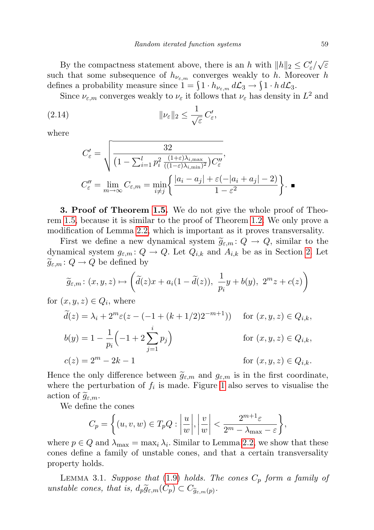By the compactness statement above, there is an h with  $||h||_2 \leq C'_{\varepsilon}/\sqrt{\varepsilon}$ such that some subsequence of  $h_{\nu_{\varepsilon,m}}$  converges weakly to h. Moreover h defines a probability measure since  $1 = \int 1 \cdot h_{\nu_{\varepsilon,m}} d\mathcal{L}_3 \to \int 1 \cdot h d\mathcal{L}_3$ .

Since  $\nu_{\varepsilon,m}$  converges weakly to  $\nu_{\varepsilon}$  it follows that  $\nu_{\varepsilon}$  has density in  $L^2$  and

(2.14) 
$$
\|\nu_{\varepsilon}\|_2 \leq \frac{1}{\sqrt{\varepsilon}} C_{\varepsilon}',
$$

where

$$
C'_{\varepsilon} = \sqrt{\frac{32}{\left(1 - \sum_{i=1}^{l} p_i^2 \frac{(1+\varepsilon)\lambda_{i,\max}}{((1-\varepsilon)\lambda_{i,\min})^2}\right)} C''_{\varepsilon}},
$$
  

$$
C''_{\varepsilon} = \lim_{m \to \infty} C_{\varepsilon,m} = \min_{i \neq j} \left\{ \frac{|a_i - a_j| + \varepsilon(-|a_i + a_j| - 2)}{1 - \varepsilon^2} \right\}.
$$

3. Proof of Theorem [1.5.](#page-3-1) We do not give the whole proof of Theorem [1.5,](#page-3-1) because it is similar to the proof of Theorem [1.2.](#page-2-0) We only prove a modification of Lemma [2.2,](#page-6-1) which is important as it proves transversality.

First we define a new dynamical system  $\tilde{g}_{\varepsilon,m}: Q \to Q$ , similar to the dynamical system  $g_{\varepsilon,m} \colon Q \to Q$ . Let  $Q_{i,k}$  and  $A_{i,k}$  be as in Section [2.](#page-3-2) Let  $\widetilde{g}_{\varepsilon,m} : Q \to Q$  be defined by

$$
\widetilde{g}_{\varepsilon,m}\colon (x,y,z)\mapsto \left(\widetilde{d}(z)x+a_i(1-\widetilde{d}(z)),\ \frac{1}{p_i}y+b(y),\ 2^m z+c(z)\right)
$$

for  $(x, y, z) \in Q_i$ , where

$$
\widetilde{d}(z) = \lambda_i + 2^m \varepsilon (z - (-1 + (k + 1/2)2^{-m+1})) \quad \text{for } (x, y, z) \in Q_{i,k},
$$
  
\n
$$
b(y) = 1 - \frac{1}{p_i} \left( -1 + 2 \sum_{j=1}^i p_j \right) \qquad \text{for } (x, y, z) \in Q_{i,k},
$$
  
\n
$$
c(z) = 2^m - 2k - 1 \qquad \text{for } (x, y, z) \in Q_{i,k}.
$$

Hence the only difference between  $\tilde{g}_{\varepsilon,m}$  and  $g_{\varepsilon,m}$  is in the first coordinate, where the perturbation of  $f_i$  is made. Figure [1](#page-4-0) also serves to visualise the action of  $\widetilde{g}_{\varepsilon,m}$ .

We define the cones

$$
C_p = \left\{ (u, v, w) \in T_p Q : \left| \frac{u}{w} \right|, \left| \frac{v}{w} \right| < \frac{2^{m+1} \varepsilon}{2^m - \lambda_{\max} - \varepsilon} \right\},\
$$

where  $p \in Q$  and  $\lambda_{\max} = \max_i \lambda_i$ . Similar to Lemma [2.2,](#page-6-1) we show that these cones define a family of unstable cones, and that a certain transversality property holds.

LEMMA 3.1. Suppose that  $(1.9)$  holds. The cones  $C_p$  form a family of unstable cones, that is,  $d_p \widetilde{g}_{\varepsilon,m}(C_p) \subset C_{\widetilde{g}_{\varepsilon,m}(p)}$ .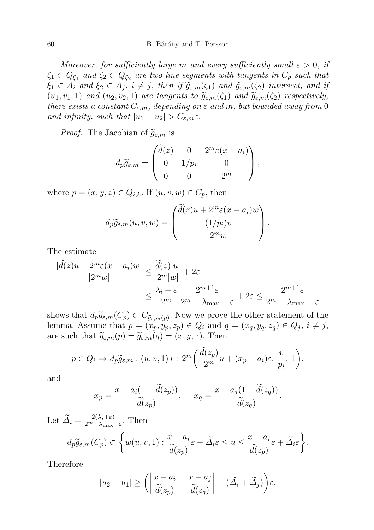Moreover, for sufficiently large m and every sufficiently small  $\varepsilon > 0$ , if  $\zeta_1 \subset Q_{\xi_1}$  and  $\zeta_2 \subset Q_{\xi_2}$  are two line segments with tangents in  $C_p$  such that  $\xi_1 \in A_i$  and  $\xi_2 \in A_j$ ,  $i \neq j$ , then if  $\widetilde{g}_{\varepsilon,m}(\zeta_1)$  and  $\widetilde{g}_{\varepsilon,m}(\zeta_2)$  intersect, and if  $(u_1, v_1, 1)$  and  $(u_2, v_2, 1)$  are tangents to  $\widetilde{g}_{\varepsilon,m}(\zeta_1)$  and  $\widetilde{g}_{\varepsilon,m}(\zeta_2)$  respectively, there exists a constant  $C_{\varepsilon,m}$ , depending on  $\varepsilon$  and m, but bounded away from 0 and infinity, such that  $|u_1 - u_2| > C_{\varepsilon, m} \varepsilon$ .

*Proof.* The Jacobian of  $\widetilde{g}_{\varepsilon,m}$  is

$$
d_p\widetilde{g}_{\varepsilon,m} = \begin{pmatrix} \widetilde{d}(z) & 0 & 2^m \varepsilon (x-a_i) \\ 0 & 1/p_i & 0 \\ 0 & 0 & 2^m \end{pmatrix},
$$

where  $p = (x, y, z) \in Q_{i,k}$ . If  $(u, v, w) \in C_p$ , then

$$
d_p\widetilde{g}_{\varepsilon,m}(u,v,w) = \begin{pmatrix} \widetilde{d}(z)u + 2^m \varepsilon (x - a_i)w \\ (1/p_i)v \\ 2^m w \end{pmatrix}.
$$

The estimate

$$
\frac{|\tilde{d}(z)u + 2^m \varepsilon (x - a_i)w|}{|2^m w|} \le \frac{\tilde{d}(z)|u|}{2^m |w|} + 2\varepsilon
$$
  

$$
\le \frac{\lambda_i + \varepsilon}{2^m} \frac{2^{m+1}\varepsilon}{2^m - \lambda_{\max} - \varepsilon} + 2\varepsilon \le \frac{2^{m+1}\varepsilon}{2^m - \lambda_{\max} - \varepsilon}
$$

shows that  $d_p \widetilde{g}_{\varepsilon,m}(C_p) \subset C_{\widetilde{g}_{\varepsilon,m}(p)}$ . Now we prove the other statement of the lower  $\Lambda$  sump that  $n = (x, y, z) \in Q$ , and  $g = (x, y, z) \in Q$ ,  $i \neq i$ lemma. Assume that  $p = (x_p, y_p, z_p) \in Q_i$  and  $q = (x_q, y_q, z_q) \in Q_j$ ,  $i \neq j$ , are such that  $\widetilde{g}_{\varepsilon,m}(p) = \widetilde{g}_{\varepsilon,m}(q) = (x, y, z)$ . Then

$$
p \in Q_i \Rightarrow d_p \widetilde{g}_{\varepsilon,m} : (u, v, 1) \mapsto 2^m \bigg( \frac{d(z_p)}{2^m} u + (x_p - a_i)\varepsilon, \frac{v}{p_i}, 1 \bigg),
$$

and

$$
x_p = \frac{x - a_i(1 - \tilde{d}(z_p))}{\tilde{d}(z_p)}, \quad x_q = \frac{x - a_j(1 - \tilde{d}(z_q))}{\tilde{d}(z_q)}.
$$

Let 
$$
\widetilde{\Delta}_i = \frac{2(\lambda_i + \varepsilon)}{2^m - \lambda_{\max} - \varepsilon}
$$
. Then  
\n
$$
d_p \widetilde{g}_{\varepsilon,m}(C_p) \subset \left\{ w(u, v, 1) : \frac{x - a_i}{\widetilde{d}(z_p)} \varepsilon - \widetilde{\Delta}_i \varepsilon \le u \le \frac{x - a_i}{\widetilde{d}(z_p)} \varepsilon + \widetilde{\Delta}_i \varepsilon \right\}.
$$

Therefore

$$
|u_2 - u_1| \ge \left(\left|\frac{x - a_i}{\tilde{d}(z_p)} - \frac{x - a_j}{\tilde{d}(z_q)}\right| - (\tilde{\Delta}_i + \tilde{\Delta}_j)\right)\varepsilon.
$$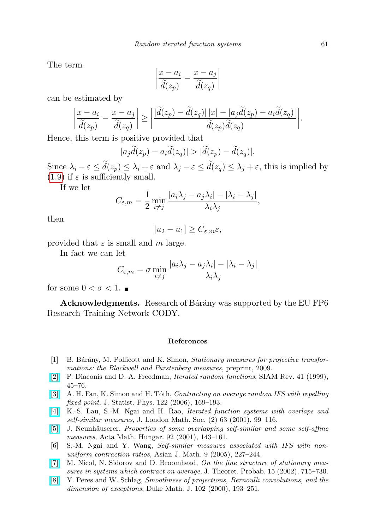The term

$$
\left|\frac{x-a_i}{\tilde{d}(z_p)} - \frac{x-a_j}{\tilde{d}(z_q)}\right|
$$

can be estimated by

$$
\left|\frac{x-a_i}{\widetilde{d}(z_p)}-\frac{x-a_j}{\widetilde{d}(z_q)}\right|\geq \left|\frac{|\widetilde{d}(z_p)-\widetilde{d}(z_q)||x|-|a_j\widetilde{d}(z_p)-a_i\widetilde{d}(z_q)|}{\widetilde{d}(z_p)\widetilde{d}(z_q)}\right|.
$$

Hence, this term is positive provided that

$$
|a_j\widetilde{d}(z_p)-a_i\widetilde{d}(z_q)|>|\widetilde{d}(z_p)-\widetilde{d}(z_q)|.
$$

Since  $\lambda_i - \varepsilon \le \tilde{d}(z_p) \le \lambda_i + \varepsilon$  and  $\lambda_j - \varepsilon \le \tilde{d}(z_q) \le \lambda_j + \varepsilon$ , this is implied by [\(1.9\)](#page-3-0) if  $\varepsilon$  is sufficiently small.

If we let

$$
C_{\varepsilon,m} = \frac{1}{2} \min_{i \neq j} \frac{|a_i \lambda_j - a_j \lambda_i| - |\lambda_i - \lambda_j|}{\lambda_i \lambda_j},
$$

then

$$
|u_2 - u_1| \ge C_{\varepsilon, m} \varepsilon,
$$

provided that  $\varepsilon$  is small and m large.

In fact we can let

$$
C_{\varepsilon,m}=\sigma\min_{i\neq j}\frac{|a_i\lambda_j-a_j\lambda_i|-|\lambda_i-\lambda_j|}{\lambda_i\lambda_j}
$$

for some  $0 < \sigma < 1$ .

Acknowledgments. Research of Bárány was supported by the EU FP6 Research Training Network CODY.

## References

- <span id="page-14-5"></span>[1] B. Bárány, M. Pollicott and K. Simon, *Stationary measures for projective transfor*mations: the Blackwell and Furstenberg measures, preprint, 2009.
- [\[2\]](http://dx.doi.org/10.1137/S0036144598338446) P. Diaconis and D. A. Freedman, Iterated random functions, SIAM Rev. 41 (1999), 45–76.
- <span id="page-14-1"></span>[\[3\]](http://dx.doi.org/10.1007/s10955-005-8013-4) A. H. Fan, K. Simon and H. Tóth, Contracting on average random IFS with repelling fixed point, J. Statist. Phys. 122 (2006), 169–193.
- <span id="page-14-6"></span>[\[4\]](http://dx.doi.org/10.1112/S0024610700001654) K.-S. Lau, S.-M. Ngai and H. Rao, Iterated function systems with overlaps and self-similar measures, J. London Math. Soc. (2) 63 (2001), 99–116.
- <span id="page-14-3"></span>[\[5\]](http://dx.doi.org/10.1023/A:1013716430425) J. Neunhäuserer, *Properties of some overlapping self-similar and some self-affine* measures, Acta Math. Hungar. 92 (2001), 143–161.
- <span id="page-14-4"></span>[6] S.-M. Ngai and Y. Wang, Self-similar measures associated with IFS with nonuniform contraction ratios, Asian J. Math. 9 (2005), 227–244.
- <span id="page-14-0"></span>[\[7\]](http://dx.doi.org/10.1023/A:1016224000145) M. Nicol, N. Sidorov and D. Broomhead, On the fine structure of stationary measures in systems which contract on average, J. Theoret. Probab. 15 (2002), 715–730.
- <span id="page-14-2"></span>[\[8\]](http://dx.doi.org/10.1215/S0012-7094-00-10222-0) Y. Peres and W. Schlag, Smoothness of projections, Bernoulli convolutions, and the dimension of exceptions, Duke Math. J. 102 (2000), 193–251.